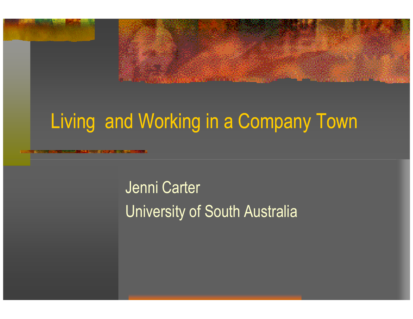## Living and Working in a Company Town

Jenni Carter University of South Australia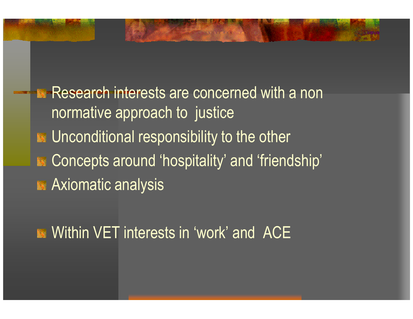**Research interests are concerned with a non** normative approach to justice**EX** Unconditional responsibility to the other Concepts around 'hospitality' and 'friendship' **Axiomatic analysis** 

**EXECUTE:** Within VET interests in 'work' and ACE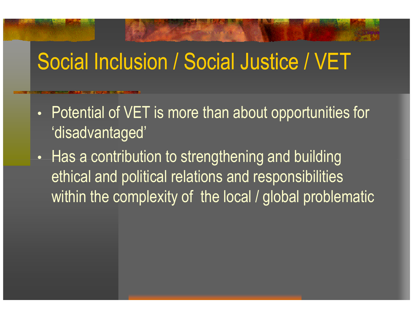## Social Inclusion / Social Justice / VET

- $\bullet$  Potential of VET is more than about opportunities for 'disadvantaged'
- •• Has a contribution to strengthening and building ethical and political relations and responsibilities within the complexity of the local / global problematic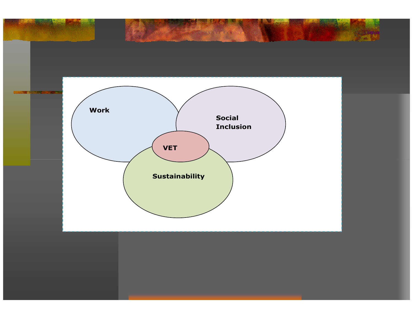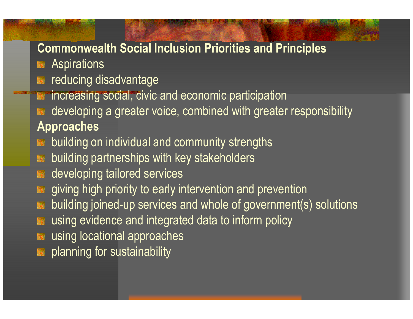#### Commonwealth Social Inclusion Priorities and Principles

- **Aspirations**
- reducing disadvantage
- increasing social, civic and economic participation
- developing a greater voice, combined with greater responsibilityApproaches
- building on individual and community strengths
- **B** building partnerships with key stakeholders
- **B** developing tailored services
- **EX** giving high priority to early intervention and prevention
- building joined-up services and whole of government(s) solutions
- using evidence and integrated data to inform policy
- using locational approaches
- **Ex** planning for sustainability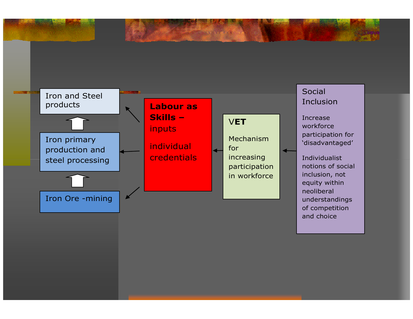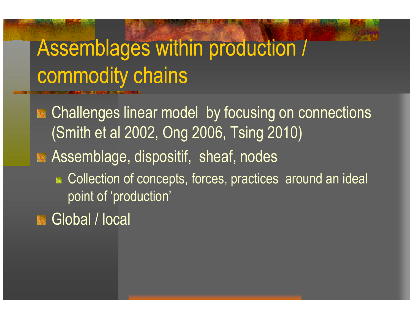# Assemblages within production / commodity chains

**Example Challenges linear model by focusing on connections** (Smith et al 2002, Ong 2006, Tsing 2010)**Assemblage, dispositif, sheaf, nodes** Collection of concepts, forces, practices around an ideal point of 'production'

Global / local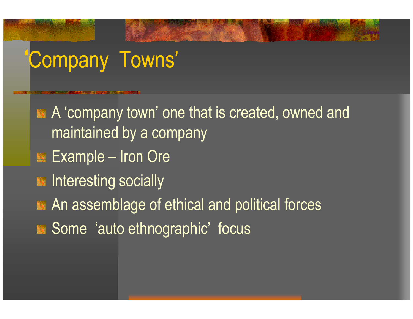# 'Company Towns'

A 'company town' one that is created, owned and maintained by a company Example – Iron Ore **Ex** Interesting socially **EX** An assemblage of ethical and political forces Some 'auto ethnographic' focus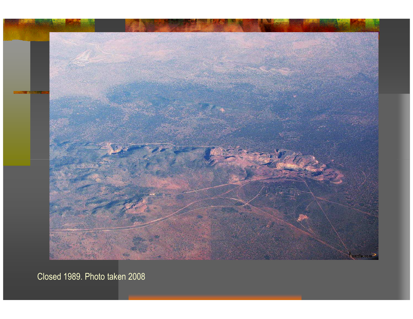

Closed 1989. Photo taken 2008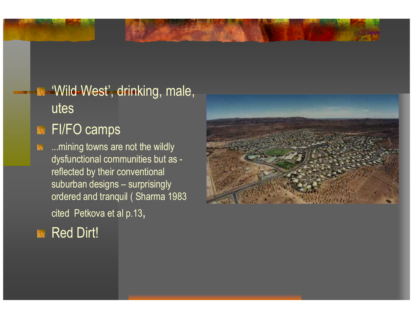### 'Wild West', drinking, male, utes

### **FI/FO camps**

...mining towns are not the wildly 医 dysfunctional communities but as reflected by their conventional suburban designs – surprisingly ordered and tranquil ( Sharma 1983 cited Petkova et al p.13,

### Red Dirt!

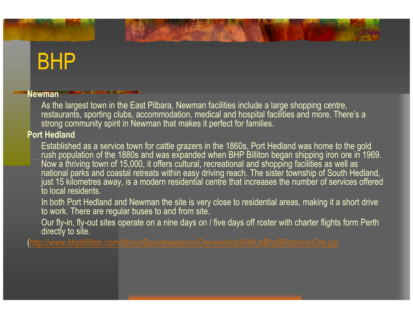## BHP

#### Newman

 As the largest town in the East Pilbara, Newman facilities include a large shopping centre, restaurants, sporting clubs, accommodation, medical and hospital facilities and more. There's a strong community spirit in Newman that makes it perfect for families.

#### Port Hedland

 Established as a service town for cattle grazers in the 1860s, Port Hedland was home to the gold rush population of the 1880s and was expanded when BHP Billiton began shipping iron ore in 1969. Now a thriving town of 15,000, it offers cultural, recreational and shopping facilities as well as national parks and coastal retreats within easy driving reach. The sister township of South Hedland, just 15 kilometres away, is a modern residential centre that increases the number of services offered to local residents.

In both Port Hedland and Newman the site is very close to residential areas, making it a short drive to work. There are regular buses to and from site.

Our fly-in, fly-out sites operate on a nine days on / five days off roster with charter flights form Perth directly to site.

(http://www.bhpbilliton.com/bb/ourBusinesses/ironOre/workingWithUsBhpBillitonIronOre.jsp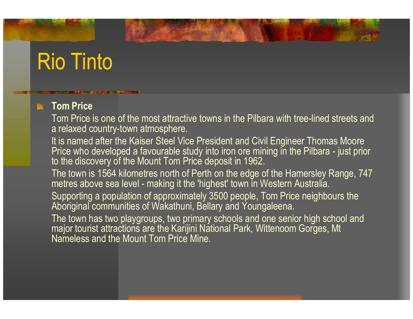## Rio Tinto

#### Tom Price

 Tom Price is one of the most attractive towns in the Pilbara with tree-lined streets and a relaxed country-town atmosphere.

It is named after the Kaiser Steel Vice President and Civil Engineer Thomas Moore<br>Price who developed a favourable study into iron ore mining in the Pilbara - just prior to the discovery of the Mount Tom Price deposit in 1962.

The town is 1564 kilometres north of Perth on the edge of the Hamersley Range, 747 metres above sea level - making it the 'highest' town in Western Australia.

Supporting a population of approximately 3500 people, Tom Price neighbours the Aboriginal communities of Wakathuni, Bellary and Youngaleena.

The town has two playgroups, two primary schools and one senior high school and major tourist attractions are the Karijini National Park, Wittenoom Gorges, Mt Nameless and the Mount Tom Price Mine.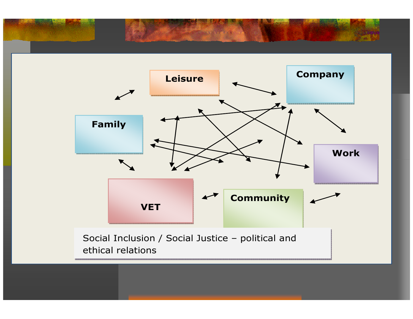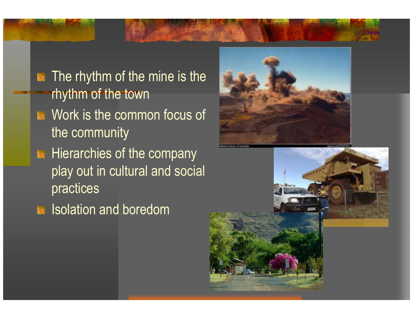The rhythm of the mine is the 籘 rhythm of the townWork is the common focus of the community**Hierarchies of the company** play out in cultural and social practices





**Isolation and boredom**